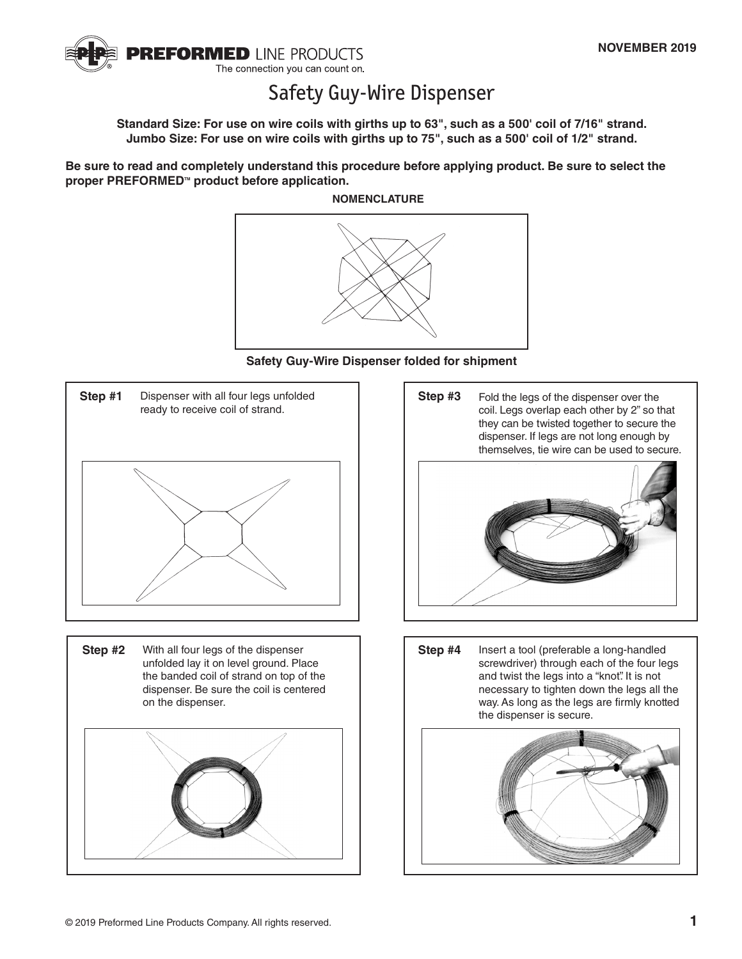

## Safety Guy-Wire Dispenser

**Standard Size: For use on wire coils with girths up to 63", such as a 500' coil of 7/16" strand. Jumbo Size: For use on wire coils with girths up to 75", such as a 500' coil of 1/2" strand.**

**Be sure to read and completely understand this procedure before applying product. Be sure to select the**  proper PREFORMED<sup>™</sup> product before application.

**NOMENCLATURE**











**Step #4** Insert a tool (preferable a long-handled screwdriver) through each of the four legs and twist the legs into a "knot". It is not necessary to tighten down the legs all the way. As long as the legs are firmly knotted the dispenser is secure.